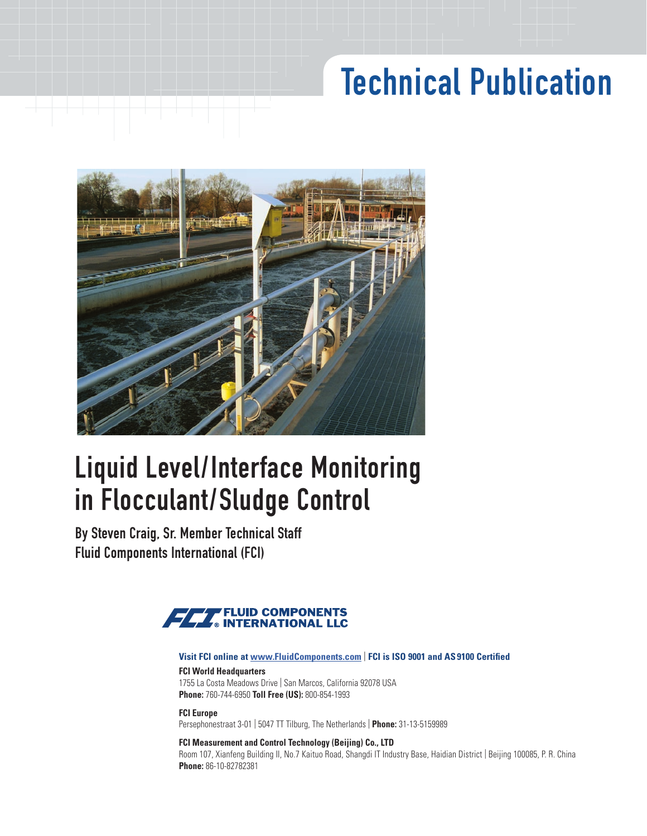# Technical Publication



# Liquid Level/Interface Monitoring in Flocculant/Sludge Control

By Steven Craig, Sr. Member Technical Staff Fluid Components International (FCI)



#### **Visit FCI online at www.FluidComponents.com** | **FCI is ISO 9001 and AS 9100 Certified**

## **FCI World Headquarters** 1755 La Costa Meadows Drive | San Marcos, California 92078 USA

**Phone:** 760-744-6950 **Toll Free (US):** 800-854-1993

 Persephonestraat 3-01 | 5047 TT Tilburg, The Netherlands | **Phone:** 31-13-5159989 **FCI Europe**

#### **FCI Measurement and Control Technology (Beijing) Co., LTD**

 Room 107, Xianfeng Building II, No.7 Kaituo Road, Shangdi IT Industry Base, Haidian District | Beijing 100085, P. R. China **Phone:** 86-10-82782381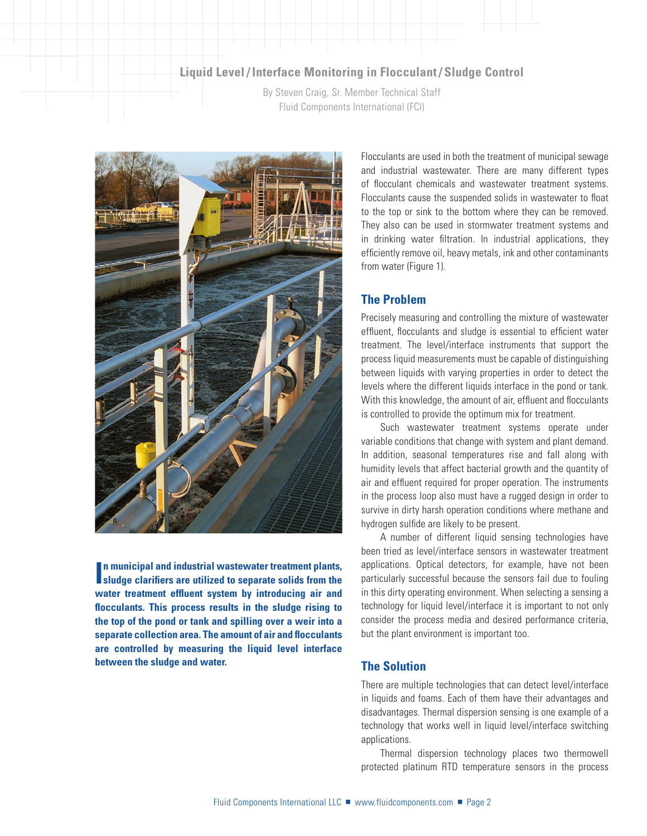### **Liquid Level / Interface Monitoring in Flocculant / Sludge Control**

By Steven Craig, Sr. Member Technical Staff Fluid Components International (FCI)



**In municipal and industrial wastewater treatment plants, sludge clarifiers are utilized to separate solids from the sludge clarifers are utilized to separate solids from the water treatment effuent system by introducing air and focculants. This process results in the sludge rising to the top of the pond or tank and spilling over a weir into a separate collection area. The amount of air and focculants are controlled by measuring the liquid level interface between the sludge and water.** 

of flocculant chemicals and wastewater treatment systems. Flocculants cause the suspended solids in wastewater to foat in drinking water fltration. In industrial applications, they effciently remove oil, heavy metals, ink and other contaminants Flocculants are used in both the treatment of municipal sewage and industrial wastewater. There are many different types to the top or sink to the bottom where they can be removed. They also can be used in stormwater treatment systems and from water (Figure 1).

# **The Problem**

 Precisely measuring and controlling the mixture of wastewater effluent, flocculants and sludge is essential to efficient water process liquid measurements must be capable of distinguishing levels where the different liquids interface in the pond or tank. treatment. The level/interface instruments that support the between liquids with varying properties in order to detect the With this knowledge, the amount of air, effluent and flocculants is controlled to provide the optimum mix for treatment.

 variable conditions that change with system and plant demand. survive in dirty harsh operation conditions where methane and hydrogen sulfde are likely to be present. Such wastewater treatment systems operate under In addition, seasonal temperatures rise and fall along with humidity levels that affect bacterial growth and the quantity of air and effuent required for proper operation. The instruments in the process loop also must have a rugged design in order to

 been tried as level/interface sensors in wastewater treatment particularly successful because the sensors fail due to fouling in this dirty operating environment. When selecting a sensing a technology for liquid level/interface it is important to not only consider the process media and desired performance criteria, but the plant environment is important too. A number of different liquid sensing technologies have applications. Optical detectors, for example, have not been

#### **The Solution**

 There are multiple technologies that can detect level/interface in liquids and foams. Each of them have their advantages and disadvantages. Thermal dispersion sensing is one example of a technology that works well in liquid level/interface switching applications.

 Thermal dispersion technology places two thermowell protected platinum RTD temperature sensors in the process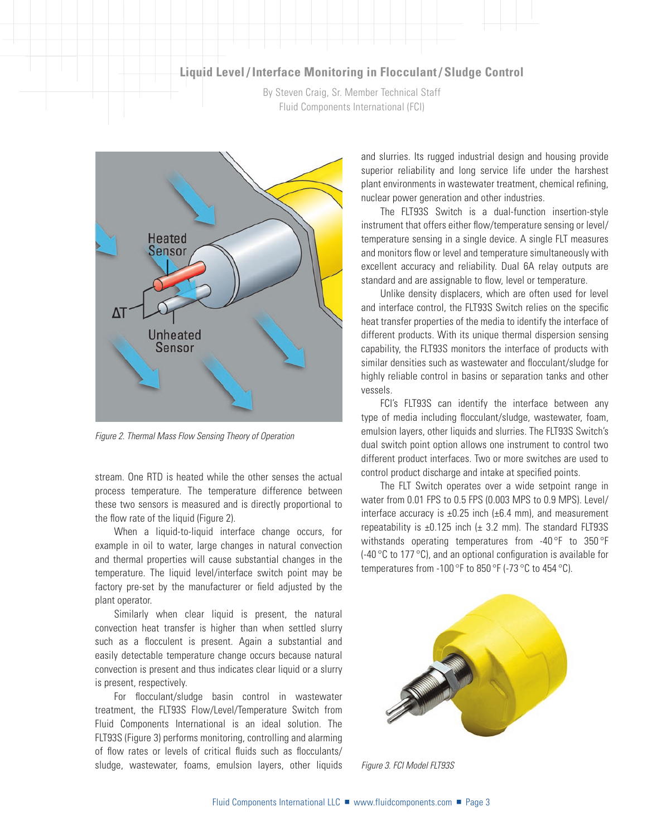# **Liquid Level / Interface Monitoring in Flocculant / Sludge Control**

By Steven Craig, Sr. Member Technical Staff Fluid Components International (FCI)



*Figure 2. Thermal Mass Flow Sensing Theory of Operation* 

 process temperature. The temperature difference between these two sensors is measured and is directly proportional to stream. One RTD is heated while the other senses the actual the flow rate of the liquid (Figure 2).

 example in oil to water, large changes in natural convection and thermal properties will cause substantial changes in the When a liquid-to-liquid interface change occurs, for temperature. The liquid level/interface switch point may be factory pre-set by the manufacturer or feld adjusted by the plant operator.

 Similarly when clear liquid is present, the natural such as a focculent is present. Again a substantial and convection is present and thus indicates clear liquid or a slurry convection heat transfer is higher than when settled slurry easily detectable temperature change occurs because natural is present, respectively.

For flocculant/sludge basin control in wastewater treatment, the FLT93S Flow/Level/Temperature Switch from Fluid Components International is an ideal solution. The FLT93S (Figure 3) performs monitoring, controlling and alarming of flow rates or levels of critical fluids such as flocculants/ sludge, wastewater, foams, emulsion layers, other liquids

 superior reliability and long service life under the harshest plant environments in wastewater treatment, chemical refning, and slurries. Its rugged industrial design and housing provide nuclear power generation and other industries.

 temperature sensing in a single device. A single FLT measures and monitors flow or level and temperature simultaneously with excellent accuracy and reliability. Dual 6A relay outputs are The FLT93S Switch is a dual-function insertion-style instrument that offers either fow/temperature sensing or level/ standard and are assignable to flow, level or temperature.

 heat transfer properties of the media to identify the interface of similar densities such as wastewater and focculant/sludge for highly reliable control in basins or separation tanks and other Unlike density displacers, which are often used for level and interface control, the FLT93S Switch relies on the specifc different products. With its unique thermal dispersion sensing capability, the FLT93S monitors the interface of products with vessels.

 FCI's FLT93S can identify the interface between any dual switch point option allows one instrument to control two type of media including focculant/sludge, wastewater, foam, emulsion layers, other liquids and slurries. The FLT93S Switch's different product interfaces. Two or more switches are used to control product discharge and intake at specifed points.

 The FLT Switch operates over a wide setpoint range in repeatability is  $\pm 0.125$  inch ( $\pm$  3.2 mm). The standard FLT93S withstands operating temperatures from -40 $\degree$ F to 350 $\degree$ F (-40  $^{\circ}$ C to 177  $^{\circ}$ C), and an optional configuration is available for temperatures from -100  $\mathrm{^{\circ}F}$  to 850  $\mathrm{^{\circ}F}$  (-73  $\mathrm{^{\circ}C}$  to 454  $\mathrm{^{\circ}C}$ ). water from 0.01 FPS to 0.5 FPS (0.003 MPS to 0.9 MPS). Level/ interface accuracy is  $\pm 0.25$  inch ( $\pm 6.4$  mm), and measurement



*Figure 3. FCI Model FLT93S*